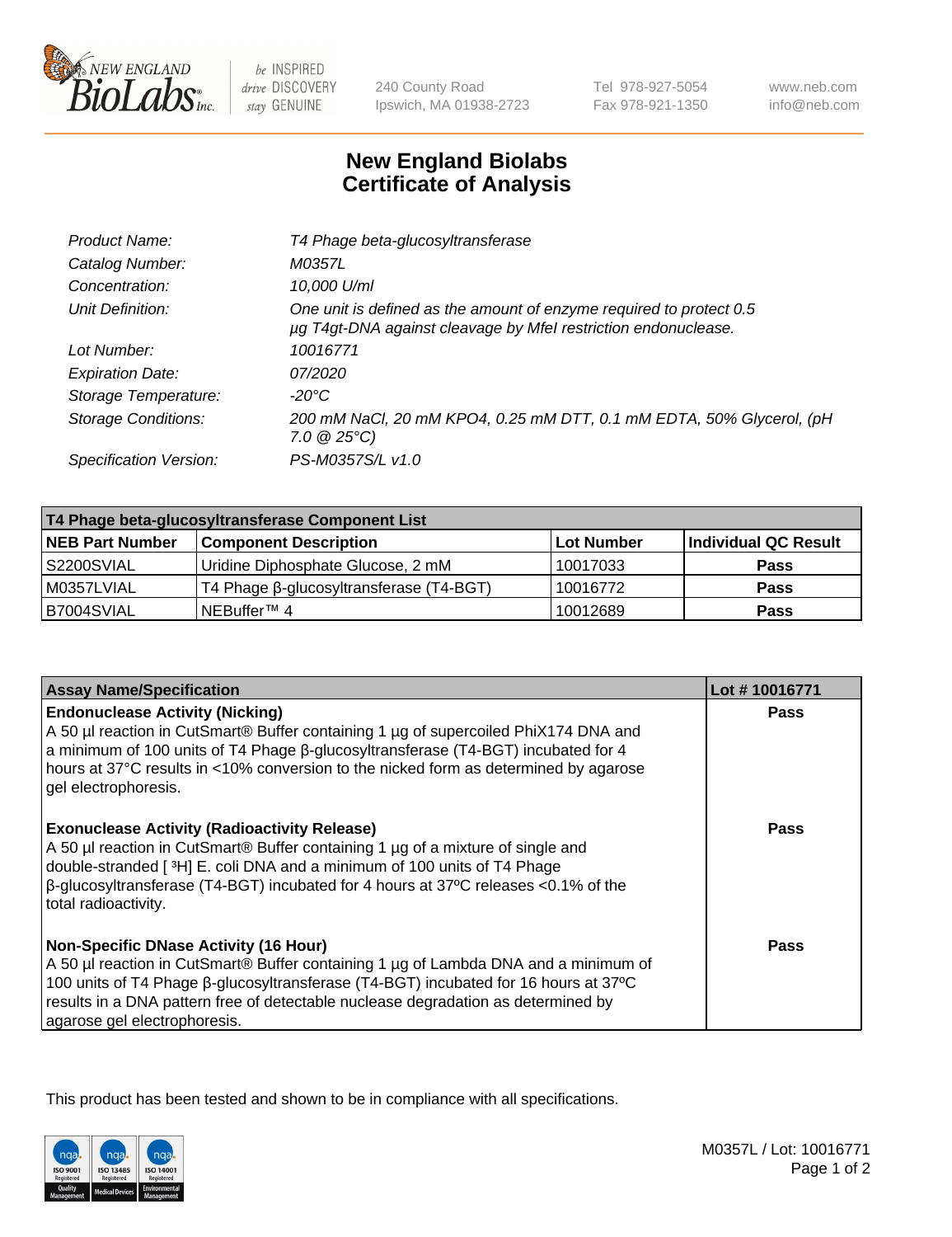

 $be$  INSPIRED drive DISCOVERY stay GENUINE

240 County Road Ipswich, MA 01938-2723 Tel 978-927-5054 Fax 978-921-1350 www.neb.com info@neb.com

## **New England Biolabs Certificate of Analysis**

| Product Name:              | T4 Phage beta-glucosyltransferase                                                                                                     |
|----------------------------|---------------------------------------------------------------------------------------------------------------------------------------|
| Catalog Number:            | M0357L                                                                                                                                |
| Concentration:             | 10,000 U/ml                                                                                                                           |
| Unit Definition:           | One unit is defined as the amount of enzyme required to protect 0.5<br>µg T4gt-DNA against cleavage by Mfel restriction endonuclease. |
| Lot Number:                | 10016771                                                                                                                              |
| <b>Expiration Date:</b>    | 07/2020                                                                                                                               |
| Storage Temperature:       | -20°C                                                                                                                                 |
| <b>Storage Conditions:</b> | 200 mM NaCl, 20 mM KPO4, 0.25 mM DTT, 0.1 mM EDTA, 50% Glycerol, (pH<br>$7.0 \ @ 25^{\circ}C$                                         |
| Specification Version:     | PS-M0357S/L v1.0                                                                                                                      |

| T4 Phage beta-glucosyltransferase Component List |                                         |            |                      |  |
|--------------------------------------------------|-----------------------------------------|------------|----------------------|--|
| <b>NEB Part Number</b>                           | <b>Component Description</b>            | Lot Number | Individual QC Result |  |
| S2200SVIAL                                       | Uridine Diphosphate Glucose, 2 mM       | 10017033   | <b>Pass</b>          |  |
| M0357LVIAL                                       | T4 Phage β-glucosyltransferase (T4-BGT) | 10016772   | <b>Pass</b>          |  |
| B7004SVIAL                                       | NEBuffer™ 4                             | 10012689   | <b>Pass</b>          |  |

| <b>Assay Name/Specification</b>                                                                                                                                                                                                                                                                                                                     | Lot #10016771 |
|-----------------------------------------------------------------------------------------------------------------------------------------------------------------------------------------------------------------------------------------------------------------------------------------------------------------------------------------------------|---------------|
| <b>Endonuclease Activity (Nicking)</b><br>A 50 µl reaction in CutSmart® Buffer containing 1 µg of supercoiled PhiX174 DNA and<br>a minimum of 100 units of T4 Phage ß-glucosyltransferase (T4-BGT) incubated for 4<br>hours at 37°C results in <10% conversion to the nicked form as determined by agarose<br>gel electrophoresis.                  | <b>Pass</b>   |
| <b>Exonuclease Activity (Radioactivity Release)</b><br>A 50 µl reaction in CutSmart® Buffer containing 1 µg of a mixture of single and<br>double-stranded [ <sup>3</sup> H] E. coli DNA and a minimum of 100 units of T4 Phage<br>$\beta$ -glucosyltransferase (T4-BGT) incubated for 4 hours at 37°C releases <0.1% of the<br>total radioactivity. | <b>Pass</b>   |
| <b>Non-Specific DNase Activity (16 Hour)</b><br>A 50 µl reaction in CutSmart® Buffer containing 1 µg of Lambda DNA and a minimum of<br>100 units of T4 Phage β-glucosyltransferase (T4-BGT) incubated for 16 hours at 37°C<br>results in a DNA pattern free of detectable nuclease degradation as determined by<br>agarose gel electrophoresis.     | Pass          |

This product has been tested and shown to be in compliance with all specifications.